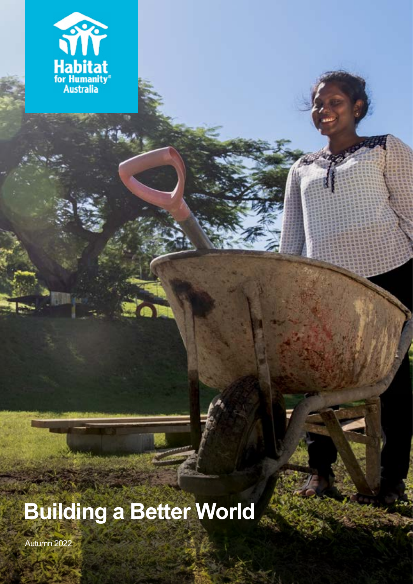

## **Building a Better World**

Autumn 2022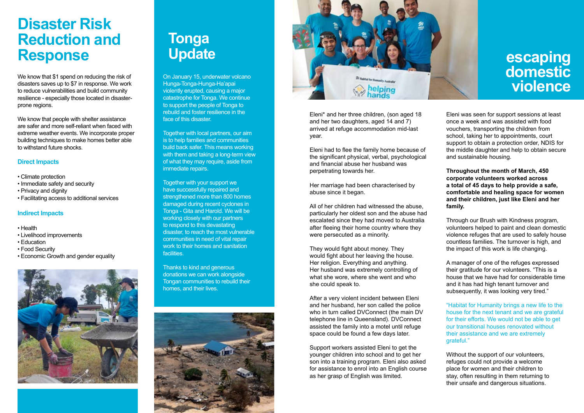We know that \$1 spend on reducing the risk of disasters saves up to \$7 in response. We work to reduce vulnerabilities and build community resilience - especially those located in disasterprone regions.

We know that people with shelter assistance are safer and more self-reliant when faced with extreme weather events. We incorporate proper building techniques to make homes better able to withstand future shocks.

#### **Direct Impacts**

- Climate protection
- Immediate safety and security
- Privacy and dignity
- Facilitating access to additional services

#### **Indirect Impacts**

Together with local partners, our aim is to help families and communities build back safer. This means working with them and taking a long-term view of what they may require, aside from immediate repairs.

- Health
- Livelihood improvements
- Education
- Food Security
- Economic Growth and gender equality



## **escaping domestic violence**

## **Disaster Risk Reduction and Response**

On January 15, underwater volcano Hunga-Tonga-Hunga-Ha'apai violently erupted, causing a major catastrophe for Tonga. We continue to support the people of Tonga to rebuild and foster resilience in the face of this disaster.

Together with your support we have successfully repaired and strengthened more than 800 homes damaged during recent cyclones in Tonga - Gita and Harold. We will be working closely with our partners to respond to this devastating disaster, to reach the most vulnerable communities in need of vital repair work to their homes and sanitation facilities.

Thanks to kind and generous donations we can work alongside Tongan communities to rebuild their homes, and their lives.





## **Tonga Update**

Eleni\* and her three children, (son aged 18 and her two daughters, aged 14 and 7) arrived at refuge accommodation mid-last year.

Eleni had to flee the family home because of the significant physical, verbal, psychological and financial abuse her husband was perpetrating towards her.

Her marriage had been characterised by abuse since it began.

All of her children had witnessed the abuse, particularly her oldest son and the abuse had escalated since they had moved to Australia after fleeing their home country where they were persecuted as a minority.

They would fight about money. They would fight about her leaving the house. Her religion. Everything and anything. Her husband was extremely controlling of what she wore, where she went and who she could speak to.

After a very violent incident between Eleni and her husband, her son called the police who in turn called DVConnect (the main DV telephone line in Queensland). DVConnect assisted the family into a motel until refuge space could be found a few days later.

Support workers assisted Eleni to get the younger children into school and to get her son into a training program. Eleni also asked for assistance to enrol into an English course as her grasp of English was limited.



Eleni was seen for support sessions at least once a week and was assisted with food vouchers, transporting the children from school, taking her to appointments, court support to obtain a protection order, NDIS for the middle daughter and help to obtain secure and sustainable housing.

**Throughout the month of March, 450 corporate volunteers worked across a total of 45 days to help provide a safe, comfortable and healing space for women and their children, just like Eleni and her family.** 

Through our Brush with Kindness program, volunteers helped to paint and clean domestic violence refuges that are used to safely house countless families. The turnover is high, and the impact of this work is life changing.

A manager of one of the refuges expressed their gratitude for our volunteers. "This is a house that we have had for considerable time and it has had high tenant turnover and subsequently, it was looking very tired."

"Habitat for Humanity brings a new life to the house for the next tenant and we are grateful for their efforts. We would not be able to get our transitional houses renovated without their assistance and we are extremely grateful."

Without the support of our volunteers, refuges could not provide a welcome place for women and their children to stay, often resulting in them returning to their unsafe and dangerous situations.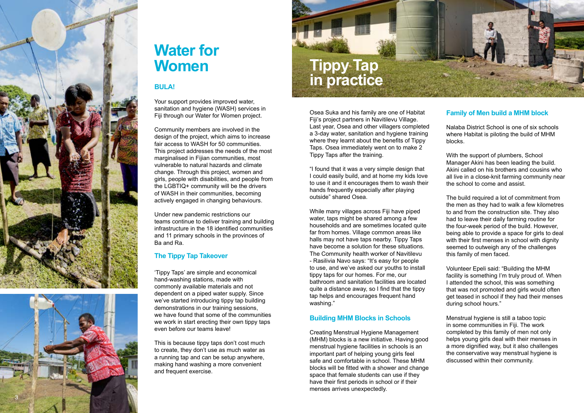Your support provides improved water, sanitation and hygiene (WASH) services in Fiji through our Water for Women project.







# **Water for<br>Women**

#### **BULA!**

Community members are involved in the design of the project, which aims to increase fair access to WASH for 50 communities. This project addresses the needs of the most marginalised in Fijian communities, most vulnerable to natural hazards and climate change. Through this project, women and girls, people with disabilities, and people from the LGBTIQ+ community will be the drivers of WASH in their communities, becoming actively engaged in changing behaviours.

Under new pandemic restrictions our teams continue to deliver training and building infrastructure in the 18 identified communities and 11 primary schools in the provinces of Ba and Ra.

#### **The Tippy Tap Takeover**

'Tippy Taps' are simple and economical hand-washing stations, made with commonly available materials and not dependent on a piped water supply. Since we've started introducing tippy tap building demonstrations in our training sessions, we have found that some of the communities we work in start erecting their own tippy taps even before our teams leave!

This is because tippy taps don't cost much to create, they don't use as much water as a running tap and can be setup anywhere, making hand washing a more convenient and frequent exercise.

Osea Suka and his family are one of Habitat Fiji's project partners in Navitilevu Village. Last year, Osea and other villagers completed a 3-day water, sanitation and hygiene training where they learnt about the benefits of Tippy Taps. Osea immediately went on to make 2 Tippy Taps after the training.

"I found that it was a very simple design that I could easily build, and at home my kids love to use it and it encourages them to wash their hands frequently especially after playing outside" shared Osea.

While many villages across Fiji have piped water, taps might be shared among a few households and are sometimes located quite far from homes. Village common areas like halls may not have taps nearby. Tippy Taps have become a solution for these situations. The Community health worker of Navitilevu - Rasilivia Navo says: "It's easy for people to use, and we've asked our youths to install tippy taps for our homes. For me, our bathroom and sanitation facilities are located quite a distance away, so I find that the tippy tap helps and encourages frequent hand washing."

#### **Building MHM Blocks in Schools**

Creating Menstrual Hygiene Management (MHM) blocks is a new initiative. Having good menstrual hygiene facilities in schools is an important part of helping young girls feel safe and comfortable in school. These MHM blocks will be fitted with a shower and change space that female students can use if they have their first periods in school or if their menses arrives unexpectedly.



#### **Family of Men build a MHM block**

Nalaba District School is one of six schools where Habitat is piloting the build of MHM blocks.

With the support of plumbers, School Manager Akini has been leading the build. Akini called on his brothers and cousins who all live in a close-knit farming community near the school to come and assist.

The build required a lot of commitment from the men as they had to walk a few kilometres to and from the construction site. They also had to leave their daily farming routine for the four-week period of the build. However, being able to provide a space for girls to deal with their first menses in school with dignity seemed to outweigh any of the challenges this family of men faced.

Volunteer Epeli said: "Building the MHM facility is something I'm truly proud of. When I attended the school, this was something that was not promoted and girls would often get teased in school if they had their menses during school hours."

Menstrual hygiene is still a taboo topic in some communities in Fiji. The work completed by this family of men not only helps young girls deal with their menses in a more dignified way, but it also challenges the conservative way menstrual hygiene is discussed within their community.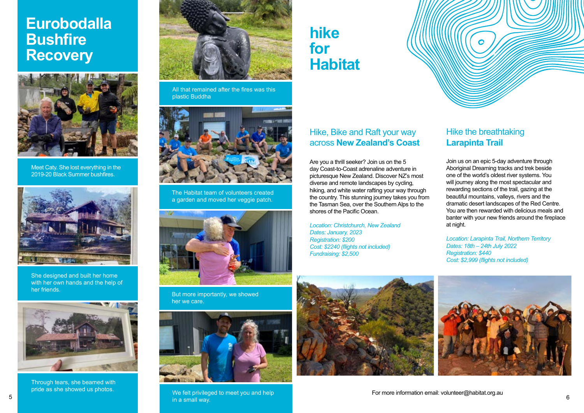#### Hike, Bike and Raft your way across **New Zealand's Coast**

#### Hike the breathtaking **Larapinta Trail**

Are you a thrill seeker? Join us on the 5 day Coast-to-Coast adrenaline adventure in picturesque New Zealand. Discover NZ's most diverse and remote landscapes by cycling, hiking, and white water rafting your way through the country. This stunning journey takes you from the Tasman Sea, over the Southern Alps to the shores of the Pacific Ocean.



We felt privileged to meet you and help in a small way. For more information email: volunteer@habitat.org.au 6 6 meet volunteer with a small way. Controller with a small way of the second way.

*Location: Christchurch, New Zealand Dates: January, 2023 Registration: \$200 Cost: \$2240 (flights not included) Fundraising: \$2,500*







Meet Caty. She lost everything in the 2019-20 Black Summer bushfires.



She designed and built her home with her own hands and the help of her friends.



Through tears, she beamed with pride as she showed us photos.



All that remained after the fires was this plastic Buddha



The Habitat team of volunteers created a garden and moved her veggie patch.



But more importantly, we showed her we care.

Join us on an epic 5-day adventure through Aboriginal Dreaming tracks and trek beside one of the world's oldest river systems. You will journey along the most spectacular and rewarding sections of the trail, gazing at the beautiful mountains, valleys, rivers and the dramatic desert landscapes of the Red Centre. You are then rewarded with delicious meals and banter with your new friends around the fireplace at night.

*Location: Larapinta Trail, Northern Territory Dates: 18th – 24th July 2022 Registration: \$440 Cost: \$2,999 (flights not included)*



## **hike for Habitat**

## **Eurobodalla Bushfire Recovery**